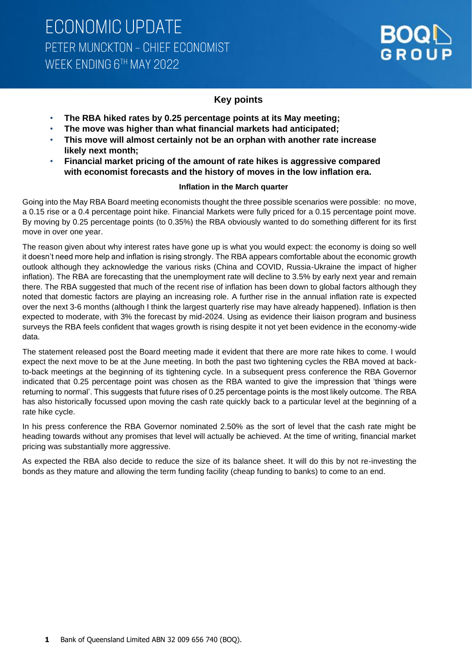## **Key points**

- **The RBA hiked rates by 0.25 percentage points at its May meeting;**
- **The move was higher than what financial markets had anticipated;**
- **This move will almost certainly not be an orphan with another rate increase likely next month;**
- **Financial market pricing of the amount of rate hikes is aggressive compared with economist forecasts and the history of moves in the low inflation era.**

### **Inflation in the March quarter**

Going into the May RBA Board meeting economists thought the three possible scenarios were possible: no move, a 0.15 rise or a 0.4 percentage point hike. Financial Markets were fully priced for a 0.15 percentage point move. By moving by 0.25 percentage points (to 0.35%) the RBA obviously wanted to do something different for its first move in over one year.

The reason given about why interest rates have gone up is what you would expect: the economy is doing so well it doesn't need more help and inflation is rising strongly. The RBA appears comfortable about the economic growth outlook although they acknowledge the various risks (China and COVID, Russia-Ukraine the impact of higher inflation). The RBA are forecasting that the unemployment rate will decline to 3.5% by early next year and remain there. The RBA suggested that much of the recent rise of inflation has been down to global factors although they noted that domestic factors are playing an increasing role. A further rise in the annual inflation rate is expected over the next 3-6 months (although I think the largest quarterly rise may have already happened). Inflation is then expected to moderate, with 3% the forecast by mid-2024. Using as evidence their liaison program and business surveys the RBA feels confident that wages growth is rising despite it not yet been evidence in the economy-wide data.

The statement released post the Board meeting made it evident that there are more rate hikes to come. I would expect the next move to be at the June meeting. In both the past two tightening cycles the RBA moved at backto-back meetings at the beginning of its tightening cycle. In a subsequent press conference the RBA Governor indicated that 0.25 percentage point was chosen as the RBA wanted to give the impression that 'things were returning to normal'. This suggests that future rises of 0.25 percentage points is the most likely outcome. The RBA has also historically focussed upon moving the cash rate quickly back to a particular level at the beginning of a rate hike cycle.

In his press conference the RBA Governor nominated 2.50% as the sort of level that the cash rate might be heading towards without any promises that level will actually be achieved. At the time of writing, financial market pricing was substantially more aggressive.

As expected the RBA also decide to reduce the size of its balance sheet. It will do this by not re-investing the bonds as they mature and allowing the term funding facility (cheap funding to banks) to come to an end.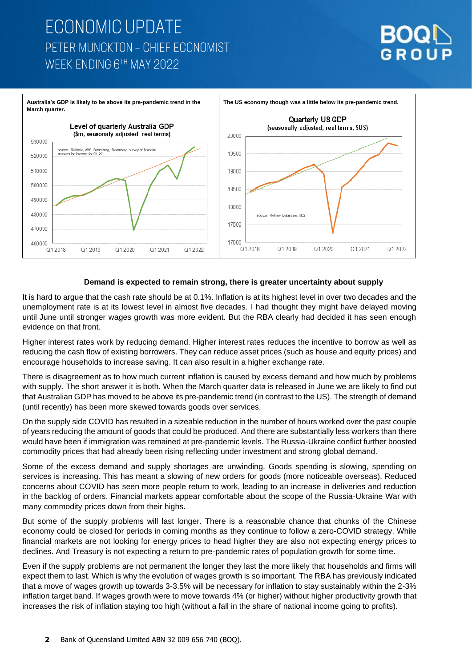# **ECONOMIC UPDATE** PETER MUNCKTON - CHIEF ECONOMIST WEEK ENDING 6TH MAY 2022





### **Demand is expected to remain strong, there is greater uncertainty about supply**

It is hard to argue that the cash rate should be at 0.1%. Inflation is at its highest level in over two decades and the unemployment rate is at its lowest level in almost five decades. I had thought they might have delayed moving until June until stronger wages growth was more evident. But the RBA clearly had decided it has seen enough evidence on that front.

Higher interest rates work by reducing demand. Higher interest rates reduces the incentive to borrow as well as reducing the cash flow of existing borrowers. They can reduce asset prices (such as house and equity prices) and encourage households to increase saving. It can also result in a higher exchange rate.

There is disagreement as to how much current inflation is caused by excess demand and how much by problems with supply. The short answer it is both. When the March quarter data is released in June we are likely to find out that Australian GDP has moved to be above its pre-pandemic trend (in contrast to the US). The strength of demand (until recently) has been more skewed towards goods over services.

On the supply side COVID has resulted in a sizeable reduction in the number of hours worked over the past couple of years reducing the amount of goods that could be produced. And there are substantially less workers than there would have been if immigration was remained at pre-pandemic levels. The Russia-Ukraine conflict further boosted commodity prices that had already been rising reflecting under investment and strong global demand.

Some of the excess demand and supply shortages are unwinding. Goods spending is slowing, spending on services is increasing. This has meant a slowing of new orders for goods (more noticeable overseas). Reduced concerns about COVID has seen more people return to work, leading to an increase in deliveries and reduction in the backlog of orders. Financial markets appear comfortable about the scope of the Russia-Ukraine War with many commodity prices down from their highs.

But some of the supply problems will last longer. There is a reasonable chance that chunks of the Chinese economy could be closed for periods in coming months as they continue to follow a zero-COVID strategy. While financial markets are not looking for energy prices to head higher they are also not expecting energy prices to declines. And Treasury is not expecting a return to pre-pandemic rates of population growth for some time.

Even if the supply problems are not permanent the longer they last the more likely that households and firms will expect them to last. Which is why the evolution of wages growth is so important. The RBA has previously indicated that a move of wages growth up towards 3-3.5% will be necessary for inflation to stay sustainably within the 2-3% inflation target band. If wages growth were to move towards 4% (or higher) without higher productivity growth that increases the risk of inflation staying too high (without a fall in the share of national income going to profits).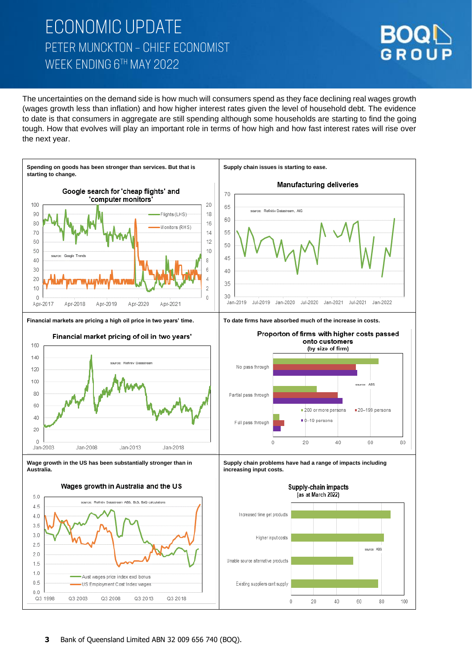# **ECONOMIC UPDATE** PETER MUNCKTON - CHIEF ECONOMIST WEEK ENDING 6TH MAY 2022



The uncertainties on the demand side is how much will consumers spend as they face declining real wages growth (wages growth less than inflation) and how higher interest rates given the level of household debt. The evidence to date is that consumers in aggregate are still spending although some households are starting to find the going tough. How that evolves will play an important role in terms of how high and how fast interest rates will rise over the next year.

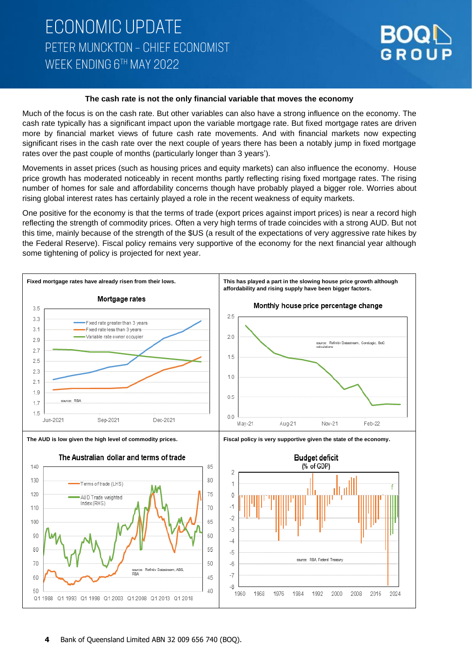

#### **The cash rate is not the only financial variable that moves the economy**

Much of the focus is on the cash rate. But other variables can also have a strong influence on the economy. The cash rate typically has a significant impact upon the variable mortgage rate. But fixed mortgage rates are driven more by financial market views of future cash rate movements. And with financial markets now expecting significant rises in the cash rate over the next couple of years there has been a notably jump in fixed mortgage rates over the past couple of months (particularly longer than 3 years').

Movements in asset prices (such as housing prices and equity markets) can also influence the economy. House price growth has moderated noticeably in recent months partly reflecting rising fixed mortgage rates. The rising number of homes for sale and affordability concerns though have probably played a bigger role. Worries about rising global interest rates has certainly played a role in the recent weakness of equity markets.

One positive for the economy is that the terms of trade (export prices against import prices) is near a record high reflecting the strength of commodity prices. Often a very high terms of trade coincides with a strong AUD. But not this time, mainly because of the strength of the \$US (a result of the expectations of very aggressive rate hikes by the Federal Reserve). Fiscal policy remains very supportive of the economy for the next financial year although some tightening of policy is projected for next year.

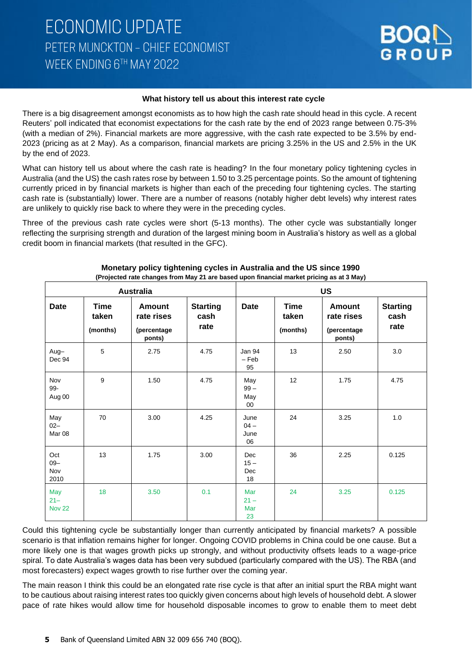

### **What history tell us about this interest rate cycle**

There is a big disagreement amongst economists as to how high the cash rate should head in this cycle. A recent Reuters' poll indicated that economist expectations for the cash rate by the end of 2023 range between 0.75-3% (with a median of 2%). Financial markets are more aggressive, with the cash rate expected to be 3.5% by end-2023 (pricing as at 2 May). As a comparison, financial markets are pricing 3.25% in the US and 2.5% in the UK by the end of 2023.

What can history tell us about where the cash rate is heading? In the four monetary policy tightening cycles in Australia (and the US) the cash rates rose by between 1.50 to 3.25 percentage points. So the amount of tightening currently priced in by financial markets is higher than each of the preceding four tightening cycles. The starting cash rate is (substantially) lower. There are a number of reasons (notably higher debt levels) why interest rates are unlikely to quickly rise back to where they were in the preceding cycles.

Three of the previous cash rate cycles were short (5-13 months). The other cycle was substantially longer reflecting the surprising strength and duration of the largest mining boom in Australia's history as well as a global credit boom in financial markets (that resulted in the GFC).

| <b>Australia</b>               |                           |                                                      |                                 | <b>US</b>                         |                                  |                                                      |                                 |
|--------------------------------|---------------------------|------------------------------------------------------|---------------------------------|-----------------------------------|----------------------------------|------------------------------------------------------|---------------------------------|
| <b>Date</b>                    | Time<br>taken<br>(months) | <b>Amount</b><br>rate rises<br>(percentage<br>ponts) | <b>Starting</b><br>cash<br>rate | Date                              | <b>Time</b><br>taken<br>(months) | <b>Amount</b><br>rate rises<br>(percentage<br>ponts) | <b>Starting</b><br>cash<br>rate |
| Aug-<br>Dec 94                 | 5                         | 2.75                                                 | 4.75                            | Jan 94<br>$-$ Feb<br>95           | 13                               | 2.50                                                 | 3.0                             |
| Nov<br>99-<br>Aug 00           | 9                         | 1.50                                                 | 4.75                            | May<br>$99 -$<br>May<br>00        | 12                               | 1.75                                                 | 4.75                            |
| May<br>$02 -$<br>Mar 08        | 70                        | 3.00                                                 | 4.25                            | June<br>$04 -$<br>June<br>06      | 24                               | 3.25                                                 | 1.0                             |
| Oct<br>$09 -$<br>Nov<br>2010   | 13                        | 1.75                                                 | 3.00                            | <b>Dec</b><br>$15 -$<br>Dec<br>18 | 36                               | 2.25                                                 | 0.125                           |
| May<br>$21 -$<br><b>Nov 22</b> | 18                        | 3.50                                                 | 0.1                             | Mar<br>$21 -$<br>Mar<br>23        | 24                               | 3.25                                                 | 0.125                           |

#### **Monetary policy tightening cycles in Australia and the US since 1990 (Projected rate changes from May 21 are based upon financial market pricing as at 3 May)**

Could this tightening cycle be substantially longer than currently anticipated by financial markets? A possible scenario is that inflation remains higher for longer. Ongoing COVID problems in China could be one cause. But a more likely one is that wages growth picks up strongly, and without productivity offsets leads to a wage-price spiral. To date Australia's wages data has been very subdued (particularly compared with the US). The RBA (and most forecasters) expect wages growth to rise further over the coming year.

The main reason I think this could be an elongated rate rise cycle is that after an initial spurt the RBA might want to be cautious about raising interest rates too quickly given concerns about high levels of household debt. A slower pace of rate hikes would allow time for household disposable incomes to grow to enable them to meet debt